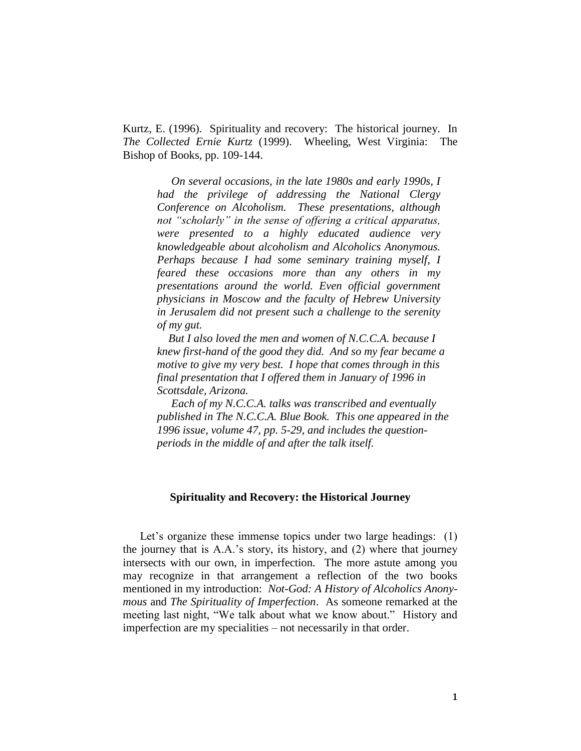Kurtz, E. (1996). Spirituality and recovery: The historical journey. In *The Collected Ernie Kurtz* (1999). Wheeling, West Virginia: The Bishop of Books, pp. 109-144.

 *On several occasions, in the late 1980s and early 1990s, I had the privilege of addressing the National Clergy Conference on Alcoholism. These presentations, although not "scholarly" in the sense of offering a critical apparatus, were presented to a highly educated audience very knowledgeable about alcoholism and Alcoholics Anonymous. Perhaps because I had some seminary training myself, I feared these occasions more than any others in my presentations around the world. Even official government physicians in Moscow and the faculty of Hebrew University in Jerusalem did not present such a challenge to the serenity of my gut.* 

 *But I also loved the men and women of N.C.C.A. because I knew first-hand of the good they did. And so my fear became a motive to give my very best. I hope that comes through in this final presentation that I offered them in January of 1996 in Scottsdale, Arizona.* 

 *Each of my N.C.C.A. talks was transcribed and eventually published in The N.C.C.A. Blue Book. This one appeared in the 1996 issue, volume 47, pp. 5-29, and includes the questionperiods in the middle of and after the talk itself.* 

## **Spirituality and Recovery: the Historical Journey**

Let's organize these immense topics under two large headings: (1) the journey that is A.A.'s story, its history, and (2) where that journey intersects with our own, in imperfection. The more astute among you may recognize in that arrangement a reflection of the two books mentioned in my introduction: *Not-God: A History of Alcoholics Anonymous* and *The Spirituality of Imperfection*. As someone remarked at the meeting last night, "We talk about what we know about." History and imperfection are my specialities – not necessarily in that order.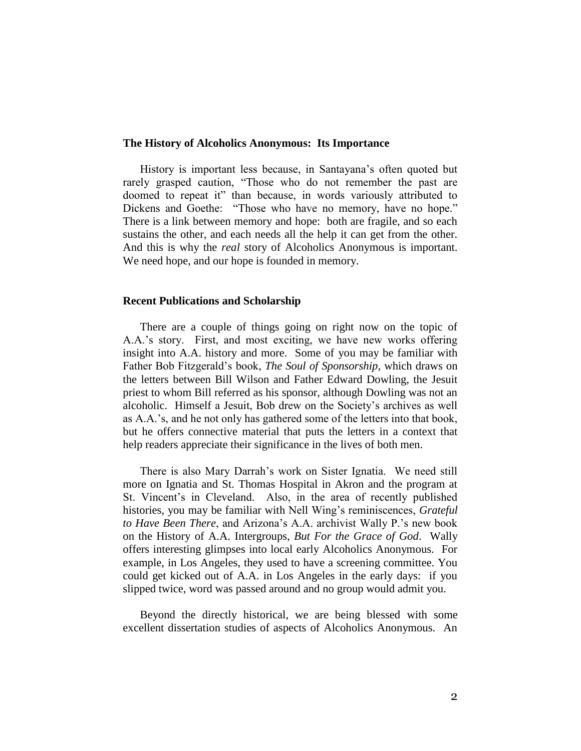#### **The History of Alcoholics Anonymous: Its Importance**

History is important less because, in Santayana's often quoted but rarely grasped caution, "Those who do not remember the past are doomed to repeat it" than because, in words variously attributed to Dickens and Goethe: "Those who have no memory, have no hope." There is a link between memory and hope: both are fragile, and so each sustains the other, and each needs all the help it can get from the other. And this is why the *real* story of Alcoholics Anonymous is important. We need hope, and our hope is founded in memory.

#### **Recent Publications and Scholarship**

There are a couple of things going on right now on the topic of A.A.'s story. First, and most exciting, we have new works offering insight into A.A. history and more. Some of you may be familiar with Father Bob Fitzgerald's book, *The Soul of Sponsorship*, which draws on the letters between Bill Wilson and Father Edward Dowling, the Jesuit priest to whom Bill referred as his sponsor, although Dowling was not an alcoholic. Himself a Jesuit, Bob drew on the Society's archives as well as A.A.'s, and he not only has gathered some of the letters into that book, but he offers connective material that puts the letters in a context that help readers appreciate their significance in the lives of both men.

There is also Mary Darrah's work on Sister Ignatia. We need still more on Ignatia and St. Thomas Hospital in Akron and the program at St. Vincent's in Cleveland. Also, in the area of recently published histories, you may be familiar with Nell Wing's reminiscences, *Grateful to Have Been There*, and Arizona's A.A. archivist Wally P.'s new book on the History of A.A. Intergroups, *But For the Grace of God*. Wally offers interesting glimpses into local early Alcoholics Anonymous. For example, in Los Angeles, they used to have a screening committee. You could get kicked out of A.A. in Los Angeles in the early days: if you slipped twice, word was passed around and no group would admit you.

Beyond the directly historical, we are being blessed with some excellent dissertation studies of aspects of Alcoholics Anonymous. An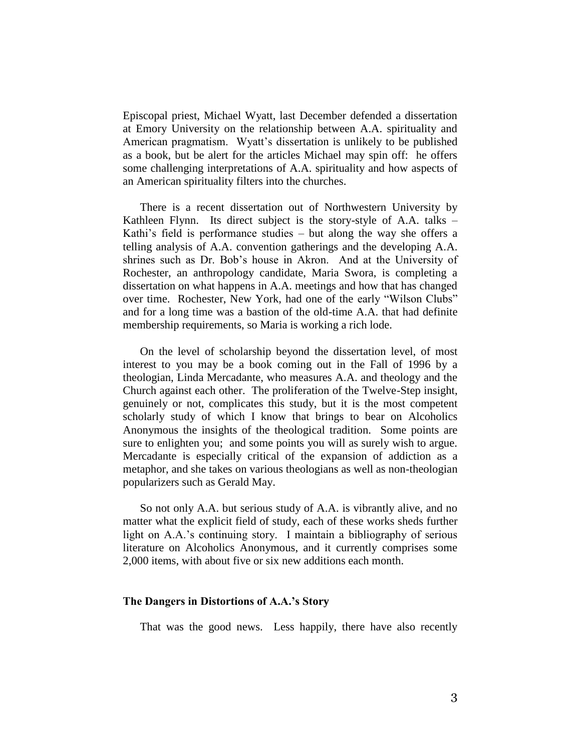Episcopal priest, Michael Wyatt, last December defended a dissertation at Emory University on the relationship between A.A. spirituality and American pragmatism. Wyatt's dissertation is unlikely to be published as a book, but be alert for the articles Michael may spin off: he offers some challenging interpretations of A.A. spirituality and how aspects of an American spirituality filters into the churches.

There is a recent dissertation out of Northwestern University by Kathleen Flynn. Its direct subject is the story-style of A.A. talks – Kathi's field is performance studies – but along the way she offers a telling analysis of A.A. convention gatherings and the developing A.A. shrines such as Dr. Bob's house in Akron. And at the University of Rochester, an anthropology candidate, Maria Swora, is completing a dissertation on what happens in A.A. meetings and how that has changed over time. Rochester, New York, had one of the early "Wilson Clubs" and for a long time was a bastion of the old-time A.A. that had definite membership requirements, so Maria is working a rich lode.

On the level of scholarship beyond the dissertation level, of most interest to you may be a book coming out in the Fall of 1996 by a theologian, Linda Mercadante, who measures A.A. and theology and the Church against each other. The proliferation of the Twelve-Step insight, genuinely or not, complicates this study, but it is the most competent scholarly study of which I know that brings to bear on Alcoholics Anonymous the insights of the theological tradition. Some points are sure to enlighten you; and some points you will as surely wish to argue. Mercadante is especially critical of the expansion of addiction as a metaphor, and she takes on various theologians as well as non-theologian popularizers such as Gerald May.

So not only A.A. but serious study of A.A. is vibrantly alive, and no matter what the explicit field of study, each of these works sheds further light on A.A.'s continuing story. I maintain a bibliography of serious literature on Alcoholics Anonymous, and it currently comprises some 2,000 items, with about five or six new additions each month.

## **The Dangers in Distortions of A.A.'s Story**

That was the good news. Less happily, there have also recently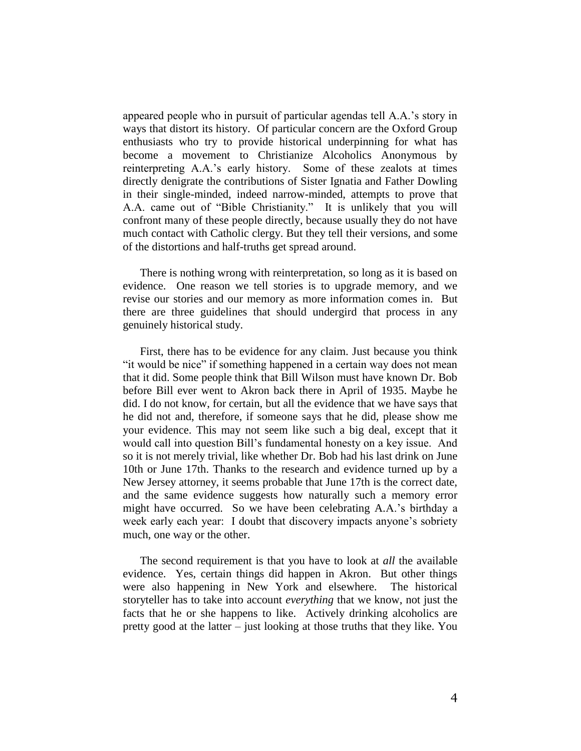appeared people who in pursuit of particular agendas tell A.A.'s story in ways that distort its history. Of particular concern are the Oxford Group enthusiasts who try to provide historical underpinning for what has become a movement to Christianize Alcoholics Anonymous by reinterpreting A.A.'s early history. Some of these zealots at times directly denigrate the contributions of Sister Ignatia and Father Dowling in their single-minded, indeed narrow-minded, attempts to prove that A.A. came out of "Bible Christianity." It is unlikely that you will confront many of these people directly, because usually they do not have much contact with Catholic clergy. But they tell their versions, and some of the distortions and half-truths get spread around.

There is nothing wrong with reinterpretation, so long as it is based on evidence. One reason we tell stories is to upgrade memory, and we revise our stories and our memory as more information comes in. But there are three guidelines that should undergird that process in any genuinely historical study.

First, there has to be evidence for any claim. Just because you think "it would be nice" if something happened in a certain way does not mean that it did. Some people think that Bill Wilson must have known Dr. Bob before Bill ever went to Akron back there in April of 1935. Maybe he did. I do not know, for certain, but all the evidence that we have says that he did not and, therefore, if someone says that he did, please show me your evidence. This may not seem like such a big deal, except that it would call into question Bill's fundamental honesty on a key issue. And so it is not merely trivial, like whether Dr. Bob had his last drink on June 10th or June 17th. Thanks to the research and evidence turned up by a New Jersey attorney, it seems probable that June 17th is the correct date, and the same evidence suggests how naturally such a memory error might have occurred. So we have been celebrating A.A.'s birthday a week early each year: I doubt that discovery impacts anyone's sobriety much, one way or the other.

The second requirement is that you have to look at *all* the available evidence. Yes, certain things did happen in Akron. But other things were also happening in New York and elsewhere. The historical storyteller has to take into account *everything* that we know, not just the facts that he or she happens to like. Actively drinking alcoholics are pretty good at the latter – just looking at those truths that they like. You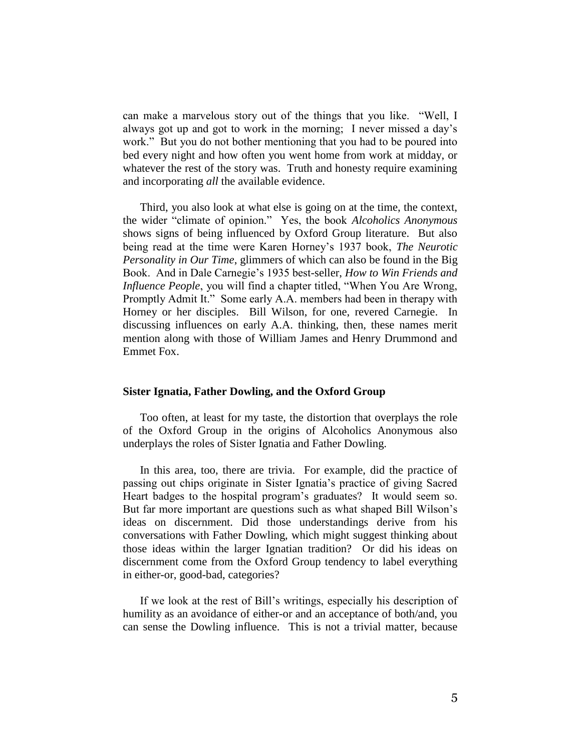can make a marvelous story out of the things that you like. "Well, I always got up and got to work in the morning; I never missed a day's work." But you do not bother mentioning that you had to be poured into bed every night and how often you went home from work at midday, or whatever the rest of the story was. Truth and honesty require examining and incorporating *all* the available evidence.

Third, you also look at what else is going on at the time, the context, the wider "climate of opinion." Yes, the book *Alcoholics Anonymous* shows signs of being influenced by Oxford Group literature. But also being read at the time were Karen Horney's 1937 book, *The Neurotic Personality in Our Time*, glimmers of which can also be found in the Big Book. And in Dale Carnegie's 1935 best-seller, *How to Win Friends and Influence People*, you will find a chapter titled, "When You Are Wrong, Promptly Admit It." Some early A.A. members had been in therapy with Horney or her disciples. Bill Wilson, for one, revered Carnegie. In discussing influences on early A.A. thinking, then, these names merit mention along with those of William James and Henry Drummond and Emmet Fox.

## **Sister Ignatia, Father Dowling, and the Oxford Group**

Too often, at least for my taste, the distortion that overplays the role of the Oxford Group in the origins of Alcoholics Anonymous also underplays the roles of Sister Ignatia and Father Dowling.

In this area, too, there are trivia. For example, did the practice of passing out chips originate in Sister Ignatia's practice of giving Sacred Heart badges to the hospital program's graduates? It would seem so. But far more important are questions such as what shaped Bill Wilson's ideas on discernment. Did those understandings derive from his conversations with Father Dowling, which might suggest thinking about those ideas within the larger Ignatian tradition? Or did his ideas on discernment come from the Oxford Group tendency to label everything in either-or, good-bad, categories?

If we look at the rest of Bill's writings, especially his description of humility as an avoidance of either-or and an acceptance of both/and, you can sense the Dowling influence. This is not a trivial matter, because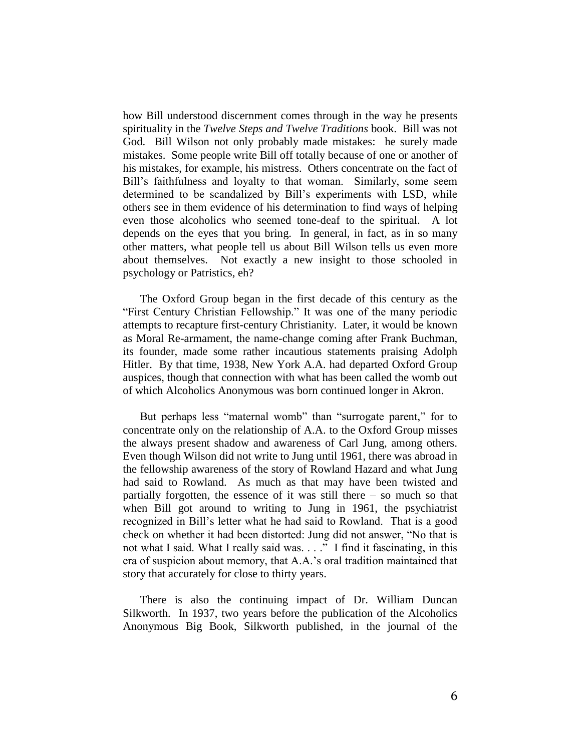how Bill understood discernment comes through in the way he presents spirituality in the *Twelve Steps and Twelve Traditions* book. Bill was not God. Bill Wilson not only probably made mistakes: he surely made mistakes. Some people write Bill off totally because of one or another of his mistakes, for example, his mistress. Others concentrate on the fact of Bill's faithfulness and loyalty to that woman. Similarly, some seem determined to be scandalized by Bill's experiments with LSD, while others see in them evidence of his determination to find ways of helping even those alcoholics who seemed tone-deaf to the spiritual. A lot depends on the eyes that you bring. In general, in fact, as in so many other matters, what people tell us about Bill Wilson tells us even more about themselves. Not exactly a new insight to those schooled in psychology or Patristics, eh?

The Oxford Group began in the first decade of this century as the "First Century Christian Fellowship." It was one of the many periodic attempts to recapture first-century Christianity. Later, it would be known as Moral Re-armament, the name-change coming after Frank Buchman, its founder, made some rather incautious statements praising Adolph Hitler. By that time, 1938, New York A.A. had departed Oxford Group auspices, though that connection with what has been called the womb out of which Alcoholics Anonymous was born continued longer in Akron.

But perhaps less "maternal womb" than "surrogate parent," for to concentrate only on the relationship of A.A. to the Oxford Group misses the always present shadow and awareness of Carl Jung, among others. Even though Wilson did not write to Jung until 1961, there was abroad in the fellowship awareness of the story of Rowland Hazard and what Jung had said to Rowland. As much as that may have been twisted and partially forgotten, the essence of it was still there – so much so that when Bill got around to writing to Jung in 1961, the psychiatrist recognized in Bill's letter what he had said to Rowland. That is a good check on whether it had been distorted: Jung did not answer, "No that is not what I said. What I really said was. . . ." I find it fascinating, in this era of suspicion about memory, that A.A.'s oral tradition maintained that story that accurately for close to thirty years.

There is also the continuing impact of Dr. William Duncan Silkworth. In 1937, two years before the publication of the Alcoholics Anonymous Big Book, Silkworth published, in the journal of the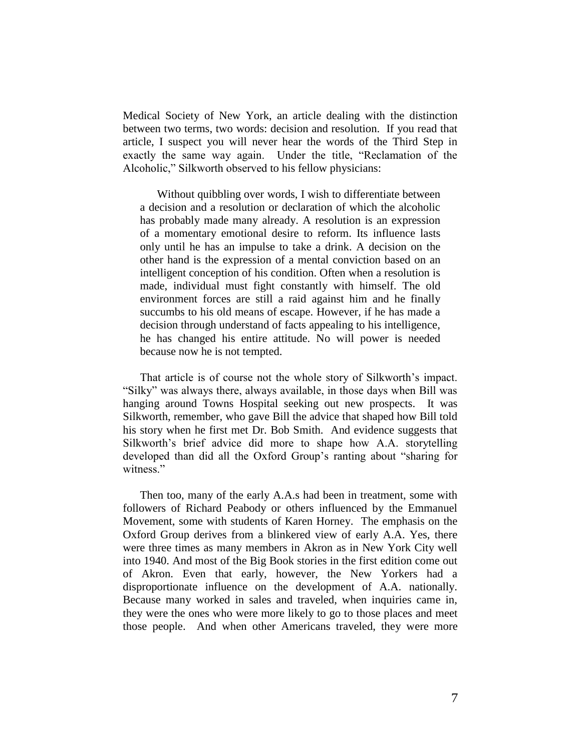Medical Society of New York, an article dealing with the distinction between two terms, two words: decision and resolution. If you read that article, I suspect you will never hear the words of the Third Step in exactly the same way again. Under the title, "Reclamation of the Alcoholic," Silkworth observed to his fellow physicians:

Without quibbling over words, I wish to differentiate between a decision and a resolution or declaration of which the alcoholic has probably made many already. A resolution is an expression of a momentary emotional desire to reform. Its influence lasts only until he has an impulse to take a drink. A decision on the other hand is the expression of a mental conviction based on an intelligent conception of his condition. Often when a resolution is made, individual must fight constantly with himself. The old environment forces are still a raid against him and he finally succumbs to his old means of escape. However, if he has made a decision through understand of facts appealing to his intelligence, he has changed his entire attitude. No will power is needed because now he is not tempted.

That article is of course not the whole story of Silkworth's impact. "Silky" was always there, always available, in those days when Bill was hanging around Towns Hospital seeking out new prospects. It was Silkworth, remember, who gave Bill the advice that shaped how Bill told his story when he first met Dr. Bob Smith. And evidence suggests that Silkworth's brief advice did more to shape how A.A. storytelling developed than did all the Oxford Group's ranting about "sharing for witness."

Then too, many of the early A.A.s had been in treatment, some with followers of Richard Peabody or others influenced by the Emmanuel Movement, some with students of Karen Horney. The emphasis on the Oxford Group derives from a blinkered view of early A.A. Yes, there were three times as many members in Akron as in New York City well into 1940. And most of the Big Book stories in the first edition come out of Akron. Even that early, however, the New Yorkers had a disproportionate influence on the development of A.A. nationally. Because many worked in sales and traveled, when inquiries came in, they were the ones who were more likely to go to those places and meet those people. And when other Americans traveled, they were more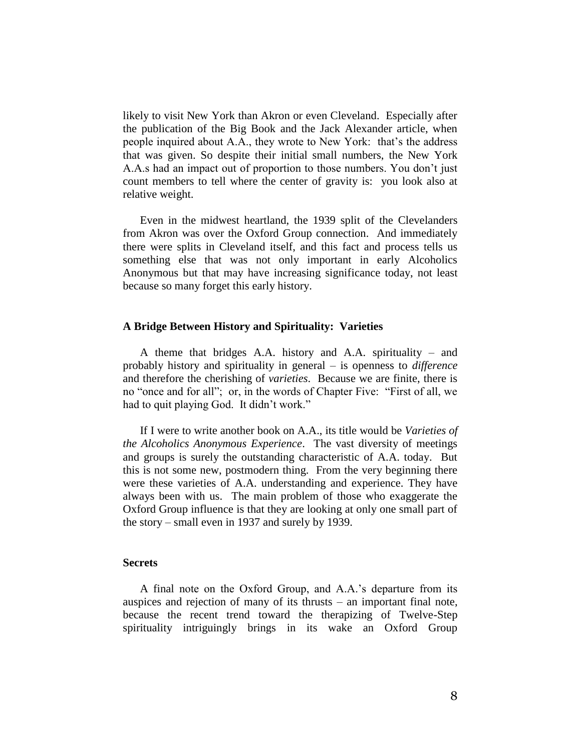likely to visit New York than Akron or even Cleveland. Especially after the publication of the Big Book and the Jack Alexander article, when people inquired about A.A., they wrote to New York: that's the address that was given. So despite their initial small numbers, the New York A.A.s had an impact out of proportion to those numbers. You don't just count members to tell where the center of gravity is: you look also at relative weight.

Even in the midwest heartland, the 1939 split of the Clevelanders from Akron was over the Oxford Group connection. And immediately there were splits in Cleveland itself, and this fact and process tells us something else that was not only important in early Alcoholics Anonymous but that may have increasing significance today, not least because so many forget this early history.

#### **A Bridge Between History and Spirituality: Varieties**

A theme that bridges A.A. history and A.A. spirituality – and probably history and spirituality in general – is openness to *difference* and therefore the cherishing of *varieties*. Because we are finite, there is no "once and for all"; or, in the words of Chapter Five: "First of all, we had to quit playing God. It didn't work."

If I were to write another book on A.A., its title would be *Varieties of the Alcoholics Anonymous Experience*. The vast diversity of meetings and groups is surely the outstanding characteristic of A.A. today. But this is not some new, postmodern thing. From the very beginning there were these varieties of A.A. understanding and experience. They have always been with us. The main problem of those who exaggerate the Oxford Group influence is that they are looking at only one small part of the story – small even in 1937 and surely by 1939.

## **Secrets**

A final note on the Oxford Group, and A.A.'s departure from its auspices and rejection of many of its thrusts – an important final note, because the recent trend toward the therapizing of Twelve-Step spirituality intriguingly brings in its wake an Oxford Group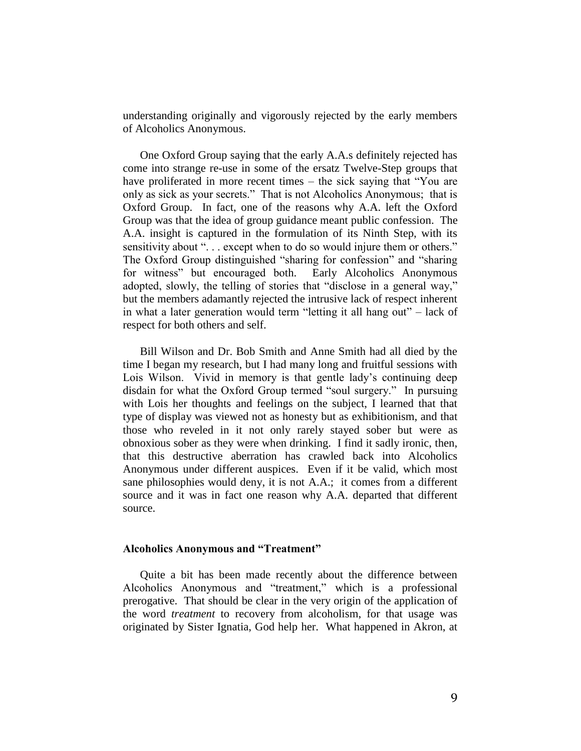understanding originally and vigorously rejected by the early members of Alcoholics Anonymous.

One Oxford Group saying that the early A.A.s definitely rejected has come into strange re-use in some of the ersatz Twelve-Step groups that have proliferated in more recent times – the sick saying that "You are only as sick as your secrets." That is not Alcoholics Anonymous; that is Oxford Group. In fact, one of the reasons why A.A. left the Oxford Group was that the idea of group guidance meant public confession. The A.A. insight is captured in the formulation of its Ninth Step, with its sensitivity about "... except when to do so would injure them or others." The Oxford Group distinguished "sharing for confession" and "sharing for witness" but encouraged both. Early Alcoholics Anonymous adopted, slowly, the telling of stories that "disclose in a general way," but the members adamantly rejected the intrusive lack of respect inherent in what a later generation would term "letting it all hang out" – lack of respect for both others and self.

Bill Wilson and Dr. Bob Smith and Anne Smith had all died by the time I began my research, but I had many long and fruitful sessions with Lois Wilson. Vivid in memory is that gentle lady's continuing deep disdain for what the Oxford Group termed "soul surgery." In pursuing with Lois her thoughts and feelings on the subject, I learned that that type of display was viewed not as honesty but as exhibitionism, and that those who reveled in it not only rarely stayed sober but were as obnoxious sober as they were when drinking. I find it sadly ironic, then, that this destructive aberration has crawled back into Alcoholics Anonymous under different auspices. Even if it be valid, which most sane philosophies would deny, it is not A.A.; it comes from a different source and it was in fact one reason why A.A. departed that different source.

#### **Alcoholics Anonymous and "Treatment"**

Quite a bit has been made recently about the difference between Alcoholics Anonymous and "treatment," which is a professional prerogative. That should be clear in the very origin of the application of the word *treatment* to recovery from alcoholism, for that usage was originated by Sister Ignatia, God help her. What happened in Akron, at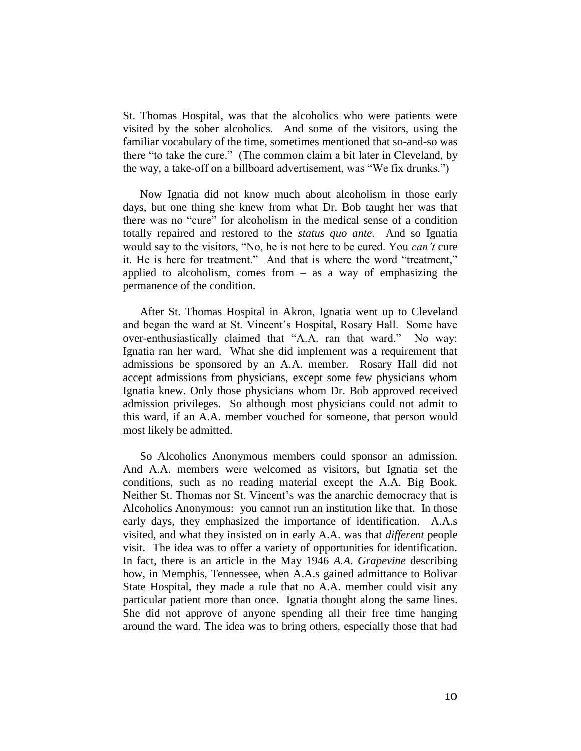St. Thomas Hospital, was that the alcoholics who were patients were visited by the sober alcoholics. And some of the visitors, using the familiar vocabulary of the time, sometimes mentioned that so-and-so was there "to take the cure." (The common claim a bit later in Cleveland, by the way, a take-off on a billboard advertisement, was "We fix drunks.")

Now Ignatia did not know much about alcoholism in those early days, but one thing she knew from what Dr. Bob taught her was that there was no "cure" for alcoholism in the medical sense of a condition totally repaired and restored to the *status quo ante*. And so Ignatia would say to the visitors, "No, he is not here to be cured. You *can't* cure it. He is here for treatment." And that is where the word "treatment," applied to alcoholism, comes from  $-$  as a way of emphasizing the permanence of the condition.

After St. Thomas Hospital in Akron, Ignatia went up to Cleveland and began the ward at St. Vincent's Hospital, Rosary Hall. Some have over-enthusiastically claimed that "A.A. ran that ward." No way: Ignatia ran her ward. What she did implement was a requirement that admissions be sponsored by an A.A. member. Rosary Hall did not accept admissions from physicians, except some few physicians whom Ignatia knew. Only those physicians whom Dr. Bob approved received admission privileges. So although most physicians could not admit to this ward, if an A.A. member vouched for someone, that person would most likely be admitted.

So Alcoholics Anonymous members could sponsor an admission. And A.A. members were welcomed as visitors, but Ignatia set the conditions, such as no reading material except the A.A. Big Book. Neither St. Thomas nor St. Vincent's was the anarchic democracy that is Alcoholics Anonymous: you cannot run an institution like that. In those early days, they emphasized the importance of identification. A.A.s visited, and what they insisted on in early A.A. was that *different* people visit. The idea was to offer a variety of opportunities for identification. In fact, there is an article in the May 1946 *A.A. Grapevine* describing how, in Memphis, Tennessee, when A.A.s gained admittance to Bolivar State Hospital, they made a rule that no A.A. member could visit any particular patient more than once. Ignatia thought along the same lines. She did not approve of anyone spending all their free time hanging around the ward. The idea was to bring others, especially those that had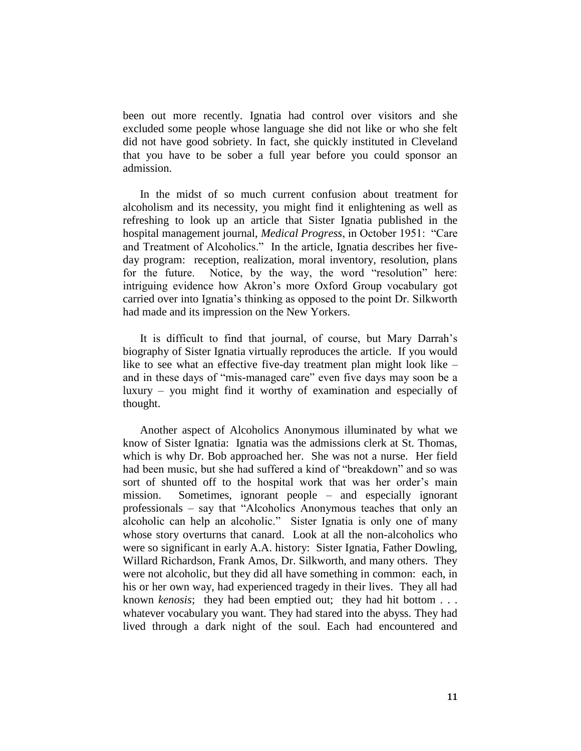been out more recently. Ignatia had control over visitors and she excluded some people whose language she did not like or who she felt did not have good sobriety. In fact, she quickly instituted in Cleveland that you have to be sober a full year before you could sponsor an admission.

In the midst of so much current confusion about treatment for alcoholism and its necessity, you might find it enlightening as well as refreshing to look up an article that Sister Ignatia published in the hospital management journal, *Medical Progress*, in October 1951: "Care and Treatment of Alcoholics." In the article, Ignatia describes her fiveday program: reception, realization, moral inventory, resolution, plans for the future. Notice, by the way, the word "resolution" here: intriguing evidence how Akron's more Oxford Group vocabulary got carried over into Ignatia's thinking as opposed to the point Dr. Silkworth had made and its impression on the New Yorkers.

It is difficult to find that journal, of course, but Mary Darrah's biography of Sister Ignatia virtually reproduces the article. If you would like to see what an effective five-day treatment plan might look like – and in these days of "mis-managed care" even five days may soon be a luxury – you might find it worthy of examination and especially of thought.

Another aspect of Alcoholics Anonymous illuminated by what we know of Sister Ignatia: Ignatia was the admissions clerk at St. Thomas, which is why Dr. Bob approached her. She was not a nurse. Her field had been music, but she had suffered a kind of "breakdown" and so was sort of shunted off to the hospital work that was her order's main mission. Sometimes, ignorant people – and especially ignorant professionals – say that "Alcoholics Anonymous teaches that only an alcoholic can help an alcoholic." Sister Ignatia is only one of many whose story overturns that canard. Look at all the non-alcoholics who were so significant in early A.A. history: Sister Ignatia, Father Dowling, Willard Richardson, Frank Amos, Dr. Silkworth, and many others. They were not alcoholic, but they did all have something in common: each, in his or her own way, had experienced tragedy in their lives. They all had known *kenosis*; they had been emptied out; they had hit bottom . . . whatever vocabulary you want. They had stared into the abyss. They had lived through a dark night of the soul. Each had encountered and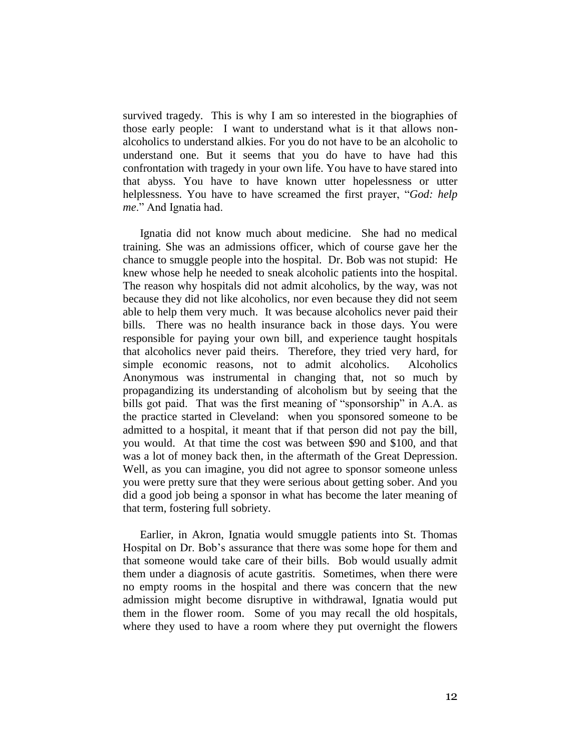survived tragedy. This is why I am so interested in the biographies of those early people: I want to understand what is it that allows nonalcoholics to understand alkies. For you do not have to be an alcoholic to understand one. But it seems that you do have to have had this confrontation with tragedy in your own life. You have to have stared into that abyss. You have to have known utter hopelessness or utter helplessness. You have to have screamed the first prayer, "*God: help me*." And Ignatia had.

Ignatia did not know much about medicine. She had no medical training. She was an admissions officer, which of course gave her the chance to smuggle people into the hospital. Dr. Bob was not stupid: He knew whose help he needed to sneak alcoholic patients into the hospital. The reason why hospitals did not admit alcoholics, by the way, was not because they did not like alcoholics, nor even because they did not seem able to help them very much. It was because alcoholics never paid their bills. There was no health insurance back in those days. You were responsible for paying your own bill, and experience taught hospitals that alcoholics never paid theirs. Therefore, they tried very hard, for simple economic reasons, not to admit alcoholics. Alcoholics Anonymous was instrumental in changing that, not so much by propagandizing its understanding of alcoholism but by seeing that the bills got paid. That was the first meaning of "sponsorship" in A.A. as the practice started in Cleveland: when you sponsored someone to be admitted to a hospital, it meant that if that person did not pay the bill, you would. At that time the cost was between \$90 and \$100, and that was a lot of money back then, in the aftermath of the Great Depression. Well, as you can imagine, you did not agree to sponsor someone unless you were pretty sure that they were serious about getting sober. And you did a good job being a sponsor in what has become the later meaning of that term, fostering full sobriety.

Earlier, in Akron, Ignatia would smuggle patients into St. Thomas Hospital on Dr. Bob's assurance that there was some hope for them and that someone would take care of their bills. Bob would usually admit them under a diagnosis of acute gastritis. Sometimes, when there were no empty rooms in the hospital and there was concern that the new admission might become disruptive in withdrawal, Ignatia would put them in the flower room. Some of you may recall the old hospitals, where they used to have a room where they put overnight the flowers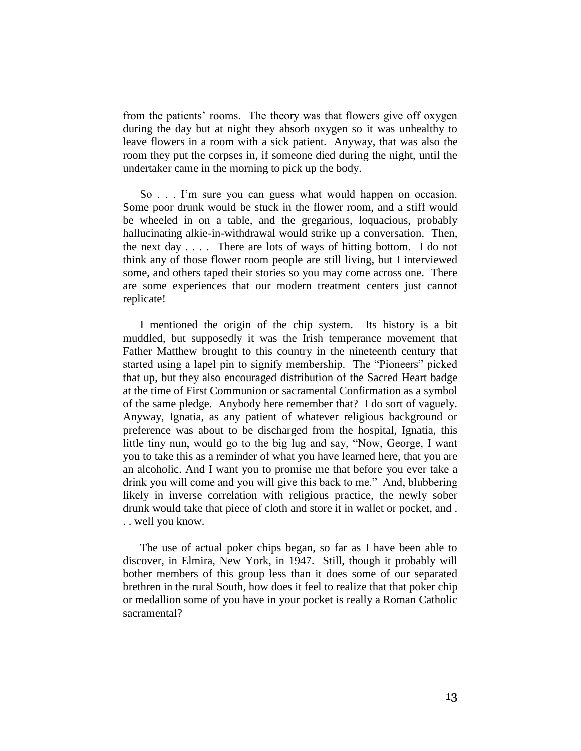from the patients' rooms. The theory was that flowers give off oxygen during the day but at night they absorb oxygen so it was unhealthy to leave flowers in a room with a sick patient. Anyway, that was also the room they put the corpses in, if someone died during the night, until the undertaker came in the morning to pick up the body.

So . . . I'm sure you can guess what would happen on occasion. Some poor drunk would be stuck in the flower room, and a stiff would be wheeled in on a table, and the gregarious, loquacious, probably hallucinating alkie-in-withdrawal would strike up a conversation. Then, the next day  $\ldots$ . There are lots of ways of hitting bottom. I do not think any of those flower room people are still living, but I interviewed some, and others taped their stories so you may come across one. There are some experiences that our modern treatment centers just cannot replicate!

I mentioned the origin of the chip system. Its history is a bit muddled, but supposedly it was the Irish temperance movement that Father Matthew brought to this country in the nineteenth century that started using a lapel pin to signify membership. The "Pioneers" picked that up, but they also encouraged distribution of the Sacred Heart badge at the time of First Communion or sacramental Confirmation as a symbol of the same pledge. Anybody here remember that? I do sort of vaguely. Anyway, Ignatia, as any patient of whatever religious background or preference was about to be discharged from the hospital, Ignatia, this little tiny nun, would go to the big lug and say, "Now, George, I want you to take this as a reminder of what you have learned here, that you are an alcoholic. And I want you to promise me that before you ever take a drink you will come and you will give this back to me." And, blubbering likely in inverse correlation with religious practice, the newly sober drunk would take that piece of cloth and store it in wallet or pocket, and . . . well you know.

The use of actual poker chips began, so far as I have been able to discover, in Elmira, New York, in 1947. Still, though it probably will bother members of this group less than it does some of our separated brethren in the rural South, how does it feel to realize that that poker chip or medallion some of you have in your pocket is really a Roman Catholic sacramental?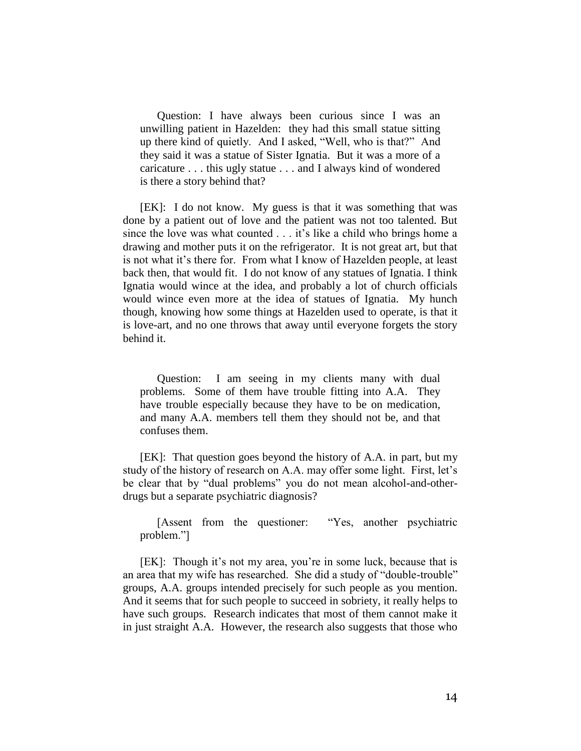Question: I have always been curious since I was an unwilling patient in Hazelden: they had this small statue sitting up there kind of quietly. And I asked, "Well, who is that?" And they said it was a statue of Sister Ignatia. But it was a more of a caricature . . . this ugly statue . . . and I always kind of wondered is there a story behind that?

[EK]: I do not know. My guess is that it was something that was done by a patient out of love and the patient was not too talented. But since the love was what counted . . . it's like a child who brings home a drawing and mother puts it on the refrigerator. It is not great art, but that is not what it's there for. From what I know of Hazelden people, at least back then, that would fit. I do not know of any statues of Ignatia. I think Ignatia would wince at the idea, and probably a lot of church officials would wince even more at the idea of statues of Ignatia. My hunch though, knowing how some things at Hazelden used to operate, is that it is love-art, and no one throws that away until everyone forgets the story behind it.

Question: I am seeing in my clients many with dual problems. Some of them have trouble fitting into A.A. They have trouble especially because they have to be on medication, and many A.A. members tell them they should not be, and that confuses them.

[EK]: That question goes beyond the history of A.A. in part, but my study of the history of research on A.A. may offer some light. First, let's be clear that by "dual problems" you do not mean alcohol-and-otherdrugs but a separate psychiatric diagnosis?

[Assent from the questioner: "Yes, another psychiatric problem."]

[EK]: Though it's not my area, you're in some luck, because that is an area that my wife has researched. She did a study of "double-trouble" groups, A.A. groups intended precisely for such people as you mention. And it seems that for such people to succeed in sobriety, it really helps to have such groups. Research indicates that most of them cannot make it in just straight A.A. However, the research also suggests that those who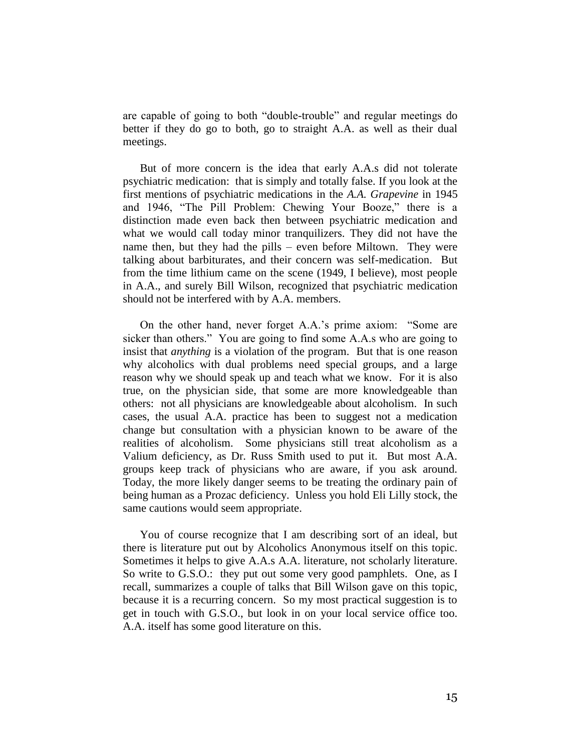are capable of going to both "double-trouble" and regular meetings do better if they do go to both, go to straight A.A. as well as their dual meetings.

But of more concern is the idea that early A.A.s did not tolerate psychiatric medication: that is simply and totally false. If you look at the first mentions of psychiatric medications in the *A.A. Grapevine* in 1945 and 1946, "The Pill Problem: Chewing Your Booze," there is a distinction made even back then between psychiatric medication and what we would call today minor tranquilizers. They did not have the name then, but they had the pills – even before Miltown. They were talking about barbiturates, and their concern was self-medication. But from the time lithium came on the scene (1949, I believe), most people in A.A., and surely Bill Wilson, recognized that psychiatric medication should not be interfered with by A.A. members.

On the other hand, never forget A.A.'s prime axiom: "Some are sicker than others." You are going to find some A.A.s who are going to insist that *anything* is a violation of the program. But that is one reason why alcoholics with dual problems need special groups, and a large reason why we should speak up and teach what we know. For it is also true, on the physician side, that some are more knowledgeable than others: not all physicians are knowledgeable about alcoholism. In such cases, the usual A.A. practice has been to suggest not a medication change but consultation with a physician known to be aware of the realities of alcoholism. Some physicians still treat alcoholism as a Valium deficiency, as Dr. Russ Smith used to put it. But most A.A. groups keep track of physicians who are aware, if you ask around. Today, the more likely danger seems to be treating the ordinary pain of being human as a Prozac deficiency. Unless you hold Eli Lilly stock, the same cautions would seem appropriate.

You of course recognize that I am describing sort of an ideal, but there is literature put out by Alcoholics Anonymous itself on this topic. Sometimes it helps to give A.A.s A.A. literature, not scholarly literature. So write to G.S.O.: they put out some very good pamphlets. One, as I recall, summarizes a couple of talks that Bill Wilson gave on this topic, because it is a recurring concern. So my most practical suggestion is to get in touch with G.S.O., but look in on your local service office too. A.A. itself has some good literature on this.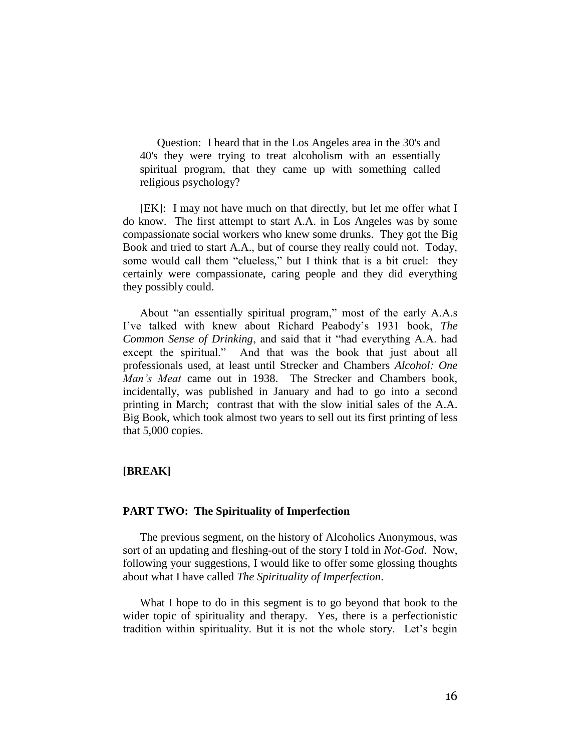Question: I heard that in the Los Angeles area in the 30's and 40's they were trying to treat alcoholism with an essentially spiritual program, that they came up with something called religious psychology?

[EK]: I may not have much on that directly, but let me offer what I do know. The first attempt to start A.A. in Los Angeles was by some compassionate social workers who knew some drunks. They got the Big Book and tried to start A.A., but of course they really could not. Today, some would call them "clueless," but I think that is a bit cruel: they certainly were compassionate, caring people and they did everything they possibly could.

About "an essentially spiritual program," most of the early A.A.s I've talked with knew about Richard Peabody's 1931 book, *The Common Sense of Drinking*, and said that it "had everything A.A. had except the spiritual." And that was the book that just about all professionals used, at least until Strecker and Chambers *Alcohol: One Man's Meat* came out in 1938. The Strecker and Chambers book, incidentally, was published in January and had to go into a second printing in March; contrast that with the slow initial sales of the A.A. Big Book, which took almost two years to sell out its first printing of less that 5,000 copies.

# **[BREAK]**

# **PART TWO: The Spirituality of Imperfection**

The previous segment, on the history of Alcoholics Anonymous, was sort of an updating and fleshing-out of the story I told in *Not-God*. Now, following your suggestions, I would like to offer some glossing thoughts about what I have called *The Spirituality of Imperfection*.

What I hope to do in this segment is to go beyond that book to the wider topic of spirituality and therapy. Yes, there is a perfectionistic tradition within spirituality. But it is not the whole story. Let's begin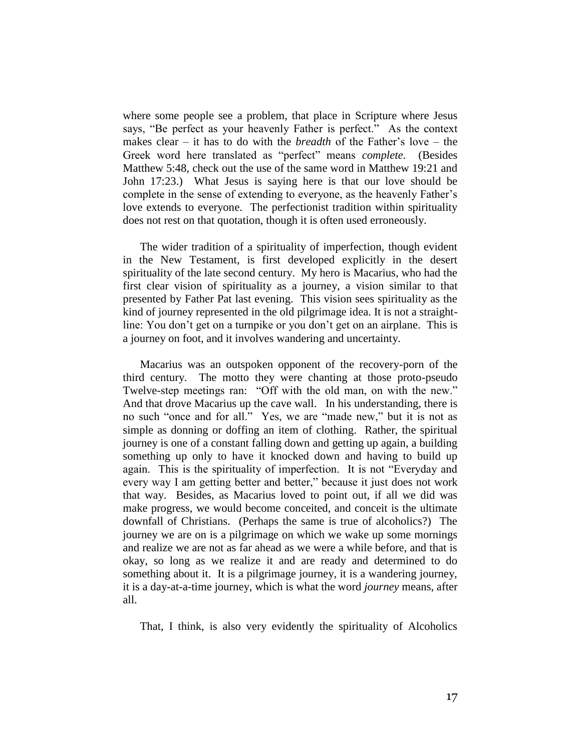where some people see a problem, that place in Scripture where Jesus says, "Be perfect as your heavenly Father is perfect." As the context makes clear – it has to do with the *breadth* of the Father's love – the Greek word here translated as "perfect" means *complete*. (Besides Matthew 5:48, check out the use of the same word in Matthew 19:21 and John 17:23.) What Jesus is saying here is that our love should be complete in the sense of extending to everyone, as the heavenly Father's love extends to everyone. The perfectionist tradition within spirituality does not rest on that quotation, though it is often used erroneously.

The wider tradition of a spirituality of imperfection, though evident in the New Testament, is first developed explicitly in the desert spirituality of the late second century. My hero is Macarius, who had the first clear vision of spirituality as a journey, a vision similar to that presented by Father Pat last evening. This vision sees spirituality as the kind of journey represented in the old pilgrimage idea. It is not a straightline: You don't get on a turnpike or you don't get on an airplane. This is a journey on foot, and it involves wandering and uncertainty.

Macarius was an outspoken opponent of the recovery-porn of the third century. The motto they were chanting at those proto-pseudo Twelve-step meetings ran: "Off with the old man, on with the new." And that drove Macarius up the cave wall. In his understanding, there is no such "once and for all." Yes, we are "made new," but it is not as simple as donning or doffing an item of clothing. Rather, the spiritual journey is one of a constant falling down and getting up again, a building something up only to have it knocked down and having to build up again. This is the spirituality of imperfection. It is not "Everyday and every way I am getting better and better," because it just does not work that way. Besides, as Macarius loved to point out, if all we did was make progress, we would become conceited, and conceit is the ultimate downfall of Christians. (Perhaps the same is true of alcoholics?) The journey we are on is a pilgrimage on which we wake up some mornings and realize we are not as far ahead as we were a while before, and that is okay, so long as we realize it and are ready and determined to do something about it. It is a pilgrimage journey, it is a wandering journey, it is a day-at-a-time journey, which is what the word *journey* means, after all.

That, I think, is also very evidently the spirituality of Alcoholics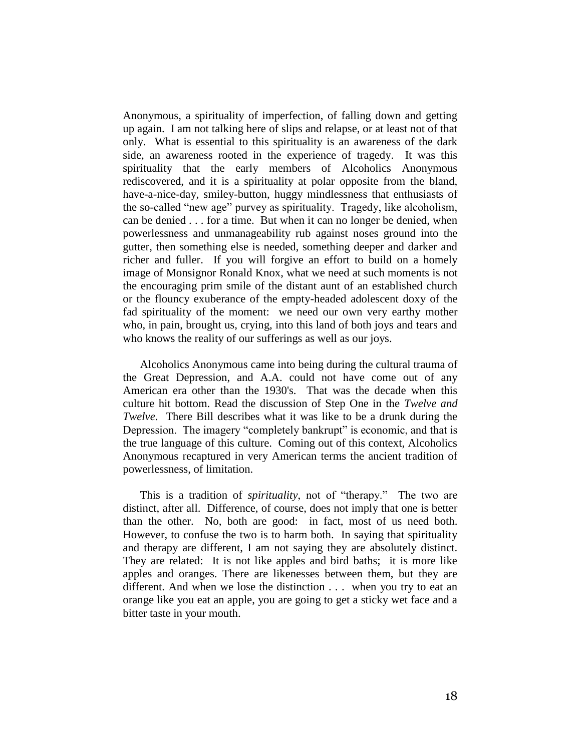Anonymous, a spirituality of imperfection, of falling down and getting up again. I am not talking here of slips and relapse, or at least not of that only. What is essential to this spirituality is an awareness of the dark side, an awareness rooted in the experience of tragedy. It was this spirituality that the early members of Alcoholics Anonymous rediscovered, and it is a spirituality at polar opposite from the bland, have-a-nice-day, smiley-button, huggy mindlessness that enthusiasts of the so-called "new age" purvey as spirituality. Tragedy, like alcoholism, can be denied . . . for a time. But when it can no longer be denied, when powerlessness and unmanageability rub against noses ground into the gutter, then something else is needed, something deeper and darker and richer and fuller. If you will forgive an effort to build on a homely image of Monsignor Ronald Knox, what we need at such moments is not the encouraging prim smile of the distant aunt of an established church or the flouncy exuberance of the empty-headed adolescent doxy of the fad spirituality of the moment: we need our own very earthy mother who, in pain, brought us, crying, into this land of both joys and tears and who knows the reality of our sufferings as well as our joys.

Alcoholics Anonymous came into being during the cultural trauma of the Great Depression, and A.A. could not have come out of any American era other than the 1930's. That was the decade when this culture hit bottom. Read the discussion of Step One in the *Twelve and Twelve*. There Bill describes what it was like to be a drunk during the Depression. The imagery "completely bankrupt" is economic, and that is the true language of this culture. Coming out of this context, Alcoholics Anonymous recaptured in very American terms the ancient tradition of powerlessness, of limitation.

This is a tradition of *spirituality*, not of "therapy." The two are distinct, after all. Difference, of course, does not imply that one is better than the other. No, both are good: in fact, most of us need both. However, to confuse the two is to harm both. In saying that spirituality and therapy are different, I am not saying they are absolutely distinct. They are related: It is not like apples and bird baths; it is more like apples and oranges. There are likenesses between them, but they are different. And when we lose the distinction . . . when you try to eat an orange like you eat an apple, you are going to get a sticky wet face and a bitter taste in your mouth.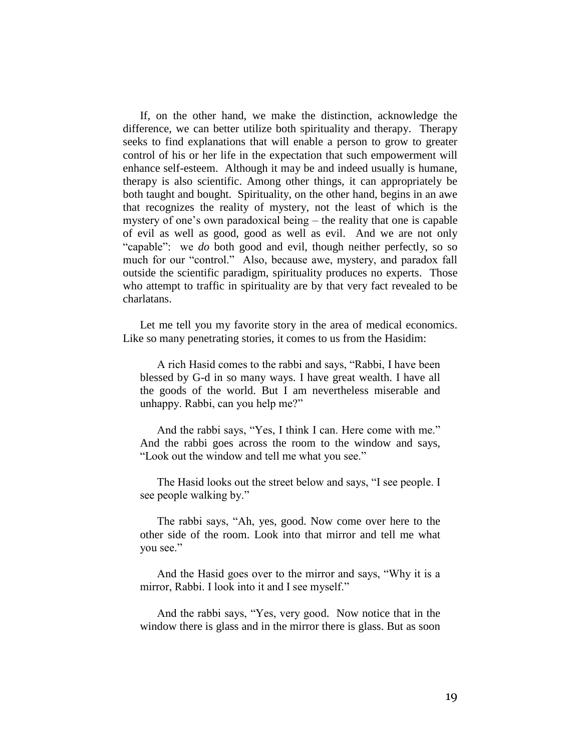If, on the other hand, we make the distinction, acknowledge the difference, we can better utilize both spirituality and therapy. Therapy seeks to find explanations that will enable a person to grow to greater control of his or her life in the expectation that such empowerment will enhance self-esteem. Although it may be and indeed usually is humane, therapy is also scientific. Among other things, it can appropriately be both taught and bought. Spirituality, on the other hand, begins in an awe that recognizes the reality of mystery, not the least of which is the mystery of one's own paradoxical being – the reality that one is capable of evil as well as good, good as well as evil. And we are not only "capable": we *do* both good and evil, though neither perfectly, so so much for our "control." Also, because awe, mystery, and paradox fall outside the scientific paradigm, spirituality produces no experts. Those who attempt to traffic in spirituality are by that very fact revealed to be charlatans.

Let me tell you my favorite story in the area of medical economics. Like so many penetrating stories, it comes to us from the Hasidim:

A rich Hasid comes to the rabbi and says, "Rabbi, I have been blessed by G-d in so many ways. I have great wealth. I have all the goods of the world. But I am nevertheless miserable and unhappy. Rabbi, can you help me?"

And the rabbi says, "Yes, I think I can. Here come with me." And the rabbi goes across the room to the window and says, "Look out the window and tell me what you see."

The Hasid looks out the street below and says, "I see people. I see people walking by."

The rabbi says, "Ah, yes, good. Now come over here to the other side of the room. Look into that mirror and tell me what you see."

And the Hasid goes over to the mirror and says, "Why it is a mirror, Rabbi. I look into it and I see myself."

And the rabbi says, "Yes, very good. Now notice that in the window there is glass and in the mirror there is glass. But as soon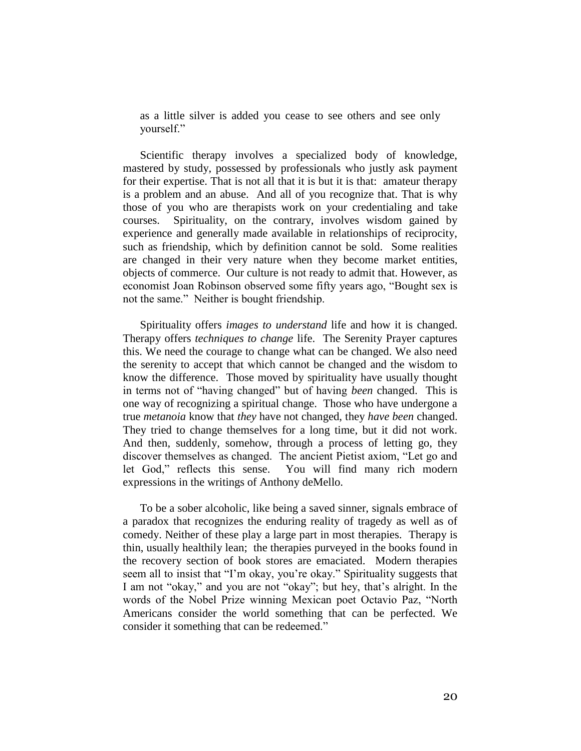as a little silver is added you cease to see others and see only yourself."

Scientific therapy involves a specialized body of knowledge, mastered by study, possessed by professionals who justly ask payment for their expertise. That is not all that it is but it is that: amateur therapy is a problem and an abuse. And all of you recognize that. That is why those of you who are therapists work on your credentialing and take courses. Spirituality, on the contrary, involves wisdom gained by experience and generally made available in relationships of reciprocity, such as friendship, which by definition cannot be sold. Some realities are changed in their very nature when they become market entities, objects of commerce. Our culture is not ready to admit that. However, as economist Joan Robinson observed some fifty years ago, "Bought sex is not the same." Neither is bought friendship.

Spirituality offers *images to understand* life and how it is changed. Therapy offers *techniques to change* life. The Serenity Prayer captures this. We need the courage to change what can be changed. We also need the serenity to accept that which cannot be changed and the wisdom to know the difference. Those moved by spirituality have usually thought in terms not of "having changed" but of having *been* changed. This is one way of recognizing a spiritual change. Those who have undergone a true *metanoia* know that *they* have not changed, they *have been* changed. They tried to change themselves for a long time, but it did not work. And then, suddenly, somehow, through a process of letting go, they discover themselves as changed. The ancient Pietist axiom, "Let go and let God," reflects this sense. You will find many rich modern expressions in the writings of Anthony deMello.

To be a sober alcoholic, like being a saved sinner, signals embrace of a paradox that recognizes the enduring reality of tragedy as well as of comedy. Neither of these play a large part in most therapies. Therapy is thin, usually healthily lean; the therapies purveyed in the books found in the recovery section of book stores are emaciated. Modern therapies seem all to insist that "I'm okay, you're okay." Spirituality suggests that I am not "okay," and you are not "okay"; but hey, that's alright. In the words of the Nobel Prize winning Mexican poet Octavio Paz, "North Americans consider the world something that can be perfected. We consider it something that can be redeemed."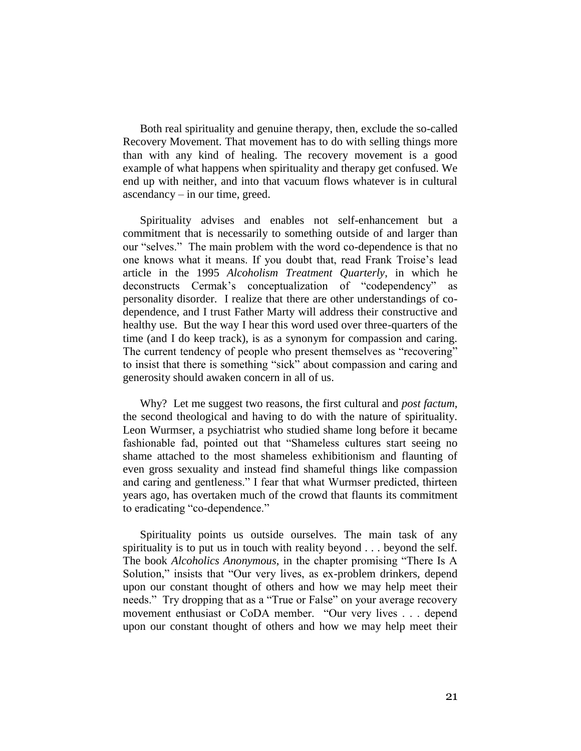Both real spirituality and genuine therapy, then, exclude the so-called Recovery Movement. That movement has to do with selling things more than with any kind of healing. The recovery movement is a good example of what happens when spirituality and therapy get confused. We end up with neither, and into that vacuum flows whatever is in cultural ascendancy – in our time, greed.

Spirituality advises and enables not self-enhancement but a commitment that is necessarily to something outside of and larger than our "selves." The main problem with the word co-dependence is that no one knows what it means. If you doubt that, read Frank Troise's lead article in the 1995 *Alcoholism Treatment Quarterly*, in which he deconstructs Cermak's conceptualization of "codependency" as personality disorder. I realize that there are other understandings of codependence, and I trust Father Marty will address their constructive and healthy use. But the way I hear this word used over three-quarters of the time (and I do keep track), is as a synonym for compassion and caring. The current tendency of people who present themselves as "recovering" to insist that there is something "sick" about compassion and caring and generosity should awaken concern in all of us.

Why? Let me suggest two reasons, the first cultural and *post factum*, the second theological and having to do with the nature of spirituality. Leon Wurmser, a psychiatrist who studied shame long before it became fashionable fad, pointed out that "Shameless cultures start seeing no shame attached to the most shameless exhibitionism and flaunting of even gross sexuality and instead find shameful things like compassion and caring and gentleness." I fear that what Wurmser predicted, thirteen years ago, has overtaken much of the crowd that flaunts its commitment to eradicating "co-dependence."

Spirituality points us outside ourselves. The main task of any spirituality is to put us in touch with reality beyond . . . beyond the self. The book *Alcoholics Anonymous*, in the chapter promising "There Is A Solution," insists that "Our very lives, as ex-problem drinkers, depend upon our constant thought of others and how we may help meet their needs." Try dropping that as a "True or False" on your average recovery movement enthusiast or CoDA member. "Our very lives . . . depend upon our constant thought of others and how we may help meet their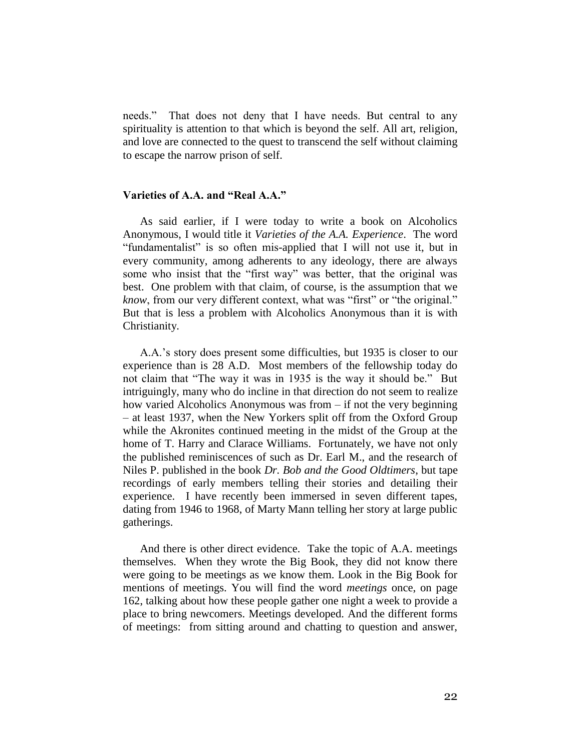needs." That does not deny that I have needs. But central to any spirituality is attention to that which is beyond the self. All art, religion, and love are connected to the quest to transcend the self without claiming to escape the narrow prison of self.

# **Varieties of A.A. and "Real A.A."**

As said earlier, if I were today to write a book on Alcoholics Anonymous, I would title it *Varieties of the A.A. Experience*. The word "fundamentalist" is so often mis-applied that I will not use it, but in every community, among adherents to any ideology, there are always some who insist that the "first way" was better, that the original was best. One problem with that claim, of course, is the assumption that we *know*, from our very different context, what was "first" or "the original." But that is less a problem with Alcoholics Anonymous than it is with Christianity.

A.A.'s story does present some difficulties, but 1935 is closer to our experience than is 28 A.D. Most members of the fellowship today do not claim that "The way it was in 1935 is the way it should be." But intriguingly, many who do incline in that direction do not seem to realize how varied Alcoholics Anonymous was from – if not the very beginning – at least 1937, when the New Yorkers split off from the Oxford Group while the Akronites continued meeting in the midst of the Group at the home of T. Harry and Clarace Williams. Fortunately, we have not only the published reminiscences of such as Dr. Earl M., and the research of Niles P. published in the book *Dr. Bob and the Good Oldtimers*, but tape recordings of early members telling their stories and detailing their experience. I have recently been immersed in seven different tapes, dating from 1946 to 1968, of Marty Mann telling her story at large public gatherings.

And there is other direct evidence. Take the topic of A.A. meetings themselves. When they wrote the Big Book, they did not know there were going to be meetings as we know them. Look in the Big Book for mentions of meetings. You will find the word *meetings* once, on page 162, talking about how these people gather one night a week to provide a place to bring newcomers. Meetings developed. And the different forms of meetings: from sitting around and chatting to question and answer,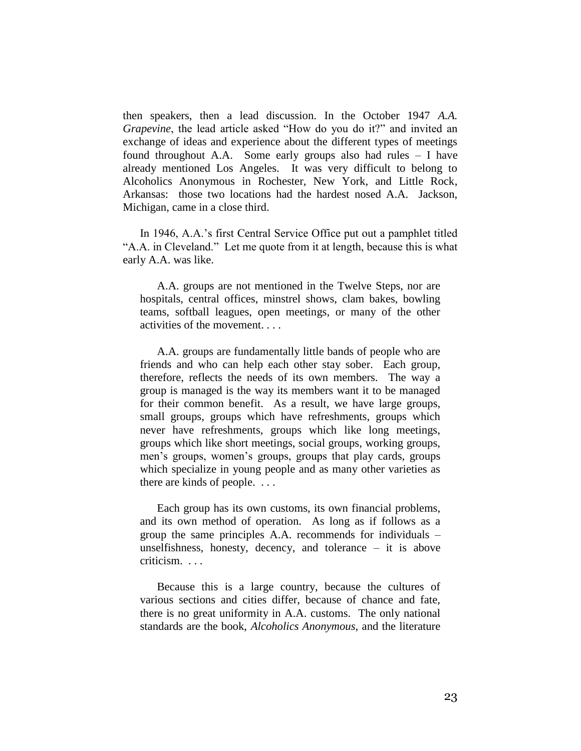then speakers, then a lead discussion. In the October 1947 *A.A. Grapevine*, the lead article asked "How do you do it?" and invited an exchange of ideas and experience about the different types of meetings found throughout A.A. Some early groups also had rules – I have already mentioned Los Angeles. It was very difficult to belong to Alcoholics Anonymous in Rochester, New York, and Little Rock, Arkansas: those two locations had the hardest nosed A.A. Jackson, Michigan, came in a close third.

In 1946, A.A.'s first Central Service Office put out a pamphlet titled "A.A. in Cleveland." Let me quote from it at length, because this is what early A.A. was like.

A.A. groups are not mentioned in the Twelve Steps, nor are hospitals, central offices, minstrel shows, clam bakes, bowling teams, softball leagues, open meetings, or many of the other activities of the movement. . . .

A.A. groups are fundamentally little bands of people who are friends and who can help each other stay sober. Each group, therefore, reflects the needs of its own members. The way a group is managed is the way its members want it to be managed for their common benefit. As a result, we have large groups, small groups, groups which have refreshments, groups which never have refreshments, groups which like long meetings, groups which like short meetings, social groups, working groups, men's groups, women's groups, groups that play cards, groups which specialize in young people and as many other varieties as there are kinds of people. . . .

Each group has its own customs, its own financial problems, and its own method of operation. As long as if follows as a group the same principles A.A. recommends for individuals – unselfishness, honesty, decency, and tolerance  $-$  it is above criticism. . . .

Because this is a large country, because the cultures of various sections and cities differ, because of chance and fate, there is no great uniformity in A.A. customs. The only national standards are the book, *Alcoholics Anonymous*, and the literature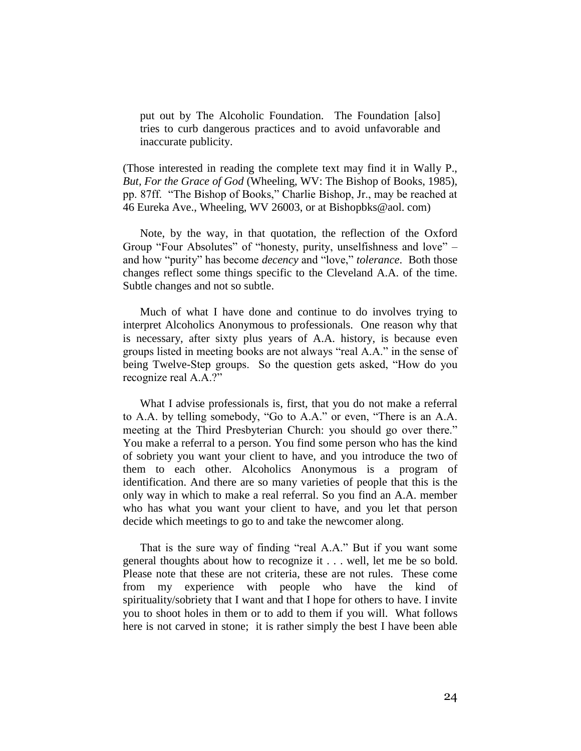put out by The Alcoholic Foundation. The Foundation [also] tries to curb dangerous practices and to avoid unfavorable and inaccurate publicity.

(Those interested in reading the complete text may find it in Wally P., *But, For the Grace of God* (Wheeling, WV: The Bishop of Books, 1985), pp. 87ff. "The Bishop of Books," Charlie Bishop, Jr., may be reached at 46 Eureka Ave., Wheeling, WV 26003, or at Bishopbks@aol. com)

Note, by the way, in that quotation, the reflection of the Oxford Group "Four Absolutes" of "honesty, purity, unselfishness and love" – and how "purity" has become *decency* and "love," *tolerance*. Both those changes reflect some things specific to the Cleveland A.A. of the time. Subtle changes and not so subtle.

Much of what I have done and continue to do involves trying to interpret Alcoholics Anonymous to professionals. One reason why that is necessary, after sixty plus years of A.A. history, is because even groups listed in meeting books are not always "real A.A." in the sense of being Twelve-Step groups. So the question gets asked, "How do you recognize real A.A.?"

What I advise professionals is, first, that you do not make a referral to A.A. by telling somebody, "Go to A.A." or even, "There is an A.A. meeting at the Third Presbyterian Church: you should go over there." You make a referral to a person. You find some person who has the kind of sobriety you want your client to have, and you introduce the two of them to each other. Alcoholics Anonymous is a program of identification. And there are so many varieties of people that this is the only way in which to make a real referral. So you find an A.A. member who has what you want your client to have, and you let that person decide which meetings to go to and take the newcomer along.

That is the sure way of finding "real A.A." But if you want some general thoughts about how to recognize it . . . well, let me be so bold. Please note that these are not criteria, these are not rules. These come from my experience with people who have the kind of spirituality/sobriety that I want and that I hope for others to have. I invite you to shoot holes in them or to add to them if you will. What follows here is not carved in stone; it is rather simply the best I have been able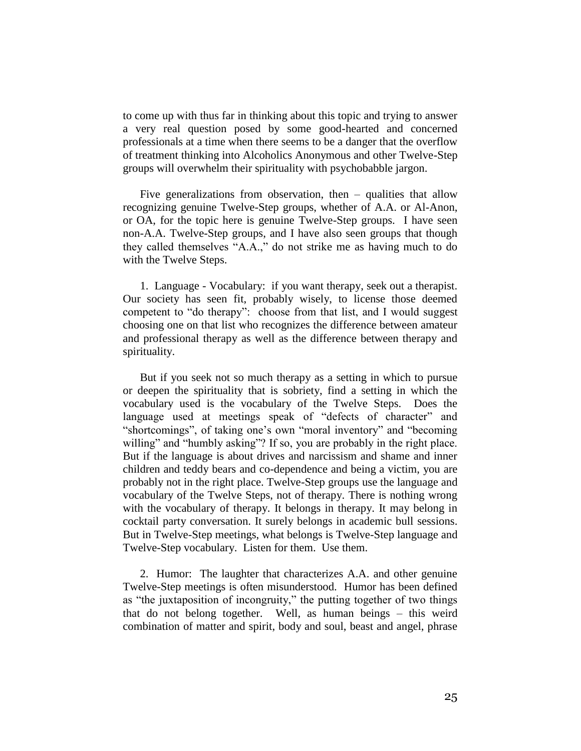to come up with thus far in thinking about this topic and trying to answer a very real question posed by some good-hearted and concerned professionals at a time when there seems to be a danger that the overflow of treatment thinking into Alcoholics Anonymous and other Twelve-Step groups will overwhelm their spirituality with psychobabble jargon.

Five generalizations from observation, then – qualities that allow recognizing genuine Twelve-Step groups, whether of A.A. or Al-Anon, or OA, for the topic here is genuine Twelve-Step groups. I have seen non-A.A. Twelve-Step groups, and I have also seen groups that though they called themselves "A.A.," do not strike me as having much to do with the Twelve Steps.

1. Language - Vocabulary: if you want therapy, seek out a therapist. Our society has seen fit, probably wisely, to license those deemed competent to "do therapy": choose from that list, and I would suggest choosing one on that list who recognizes the difference between amateur and professional therapy as well as the difference between therapy and spirituality.

But if you seek not so much therapy as a setting in which to pursue or deepen the spirituality that is sobriety, find a setting in which the vocabulary used is the vocabulary of the Twelve Steps. Does the language used at meetings speak of "defects of character" and "shortcomings", of taking one's own "moral inventory" and "becoming willing" and "humbly asking"? If so, you are probably in the right place. But if the language is about drives and narcissism and shame and inner children and teddy bears and co-dependence and being a victim, you are probably not in the right place. Twelve-Step groups use the language and vocabulary of the Twelve Steps, not of therapy. There is nothing wrong with the vocabulary of therapy. It belongs in therapy. It may belong in cocktail party conversation. It surely belongs in academic bull sessions. But in Twelve-Step meetings, what belongs is Twelve-Step language and Twelve-Step vocabulary. Listen for them. Use them.

2. Humor: The laughter that characterizes A.A. and other genuine Twelve-Step meetings is often misunderstood. Humor has been defined as "the juxtaposition of incongruity," the putting together of two things that do not belong together. Well, as human beings – this weird combination of matter and spirit, body and soul, beast and angel, phrase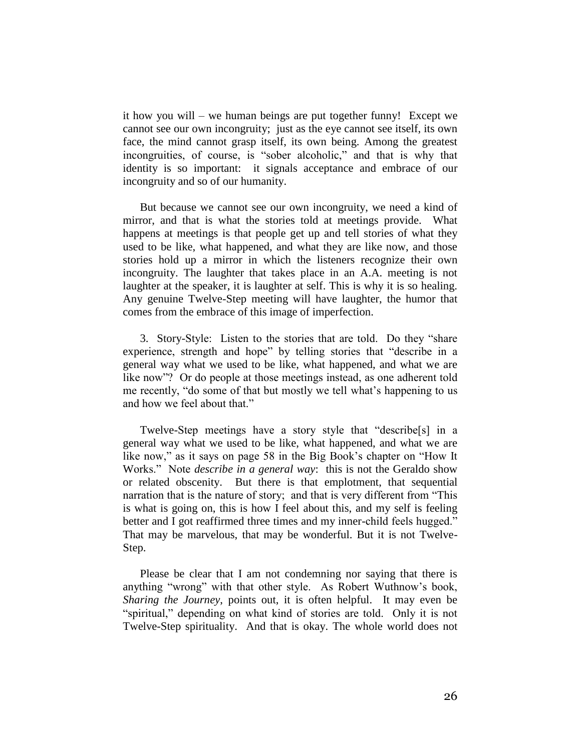it how you will – we human beings are put together funny! Except we cannot see our own incongruity; just as the eye cannot see itself, its own face, the mind cannot grasp itself, its own being. Among the greatest incongruities, of course, is "sober alcoholic," and that is why that identity is so important: it signals acceptance and embrace of our incongruity and so of our humanity.

But because we cannot see our own incongruity, we need a kind of mirror, and that is what the stories told at meetings provide. What happens at meetings is that people get up and tell stories of what they used to be like, what happened, and what they are like now, and those stories hold up a mirror in which the listeners recognize their own incongruity. The laughter that takes place in an A.A. meeting is not laughter at the speaker, it is laughter at self. This is why it is so healing. Any genuine Twelve-Step meeting will have laughter, the humor that comes from the embrace of this image of imperfection.

3. Story-Style: Listen to the stories that are told. Do they "share experience, strength and hope" by telling stories that "describe in a general way what we used to be like, what happened, and what we are like now"? Or do people at those meetings instead, as one adherent told me recently, "do some of that but mostly we tell what's happening to us and how we feel about that."

Twelve-Step meetings have a story style that "describe[s] in a general way what we used to be like, what happened, and what we are like now," as it says on page 58 in the Big Book's chapter on "How It Works." Note *describe in a general way*: this is not the Geraldo show or related obscenity. But there is that emplotment, that sequential narration that is the nature of story; and that is very different from "This is what is going on, this is how I feel about this, and my self is feeling better and I got reaffirmed three times and my inner-child feels hugged." That may be marvelous, that may be wonderful. But it is not Twelve-Step.

Please be clear that I am not condemning nor saying that there is anything "wrong" with that other style. As Robert Wuthnow's book, *Sharing the Journey*, points out, it is often helpful. It may even be "spiritual," depending on what kind of stories are told. Only it is not Twelve-Step spirituality. And that is okay. The whole world does not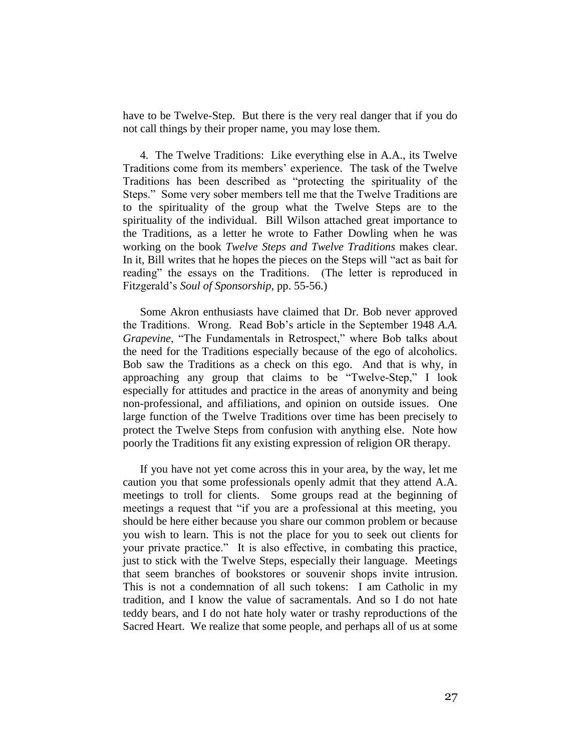have to be Twelve-Step. But there is the very real danger that if you do not call things by their proper name, you may lose them.

4. The Twelve Traditions: Like everything else in A.A., its Twelve Traditions come from its members' experience. The task of the Twelve Traditions has been described as "protecting the spirituality of the Steps." Some very sober members tell me that the Twelve Traditions are to the spirituality of the group what the Twelve Steps are to the spirituality of the individual. Bill Wilson attached great importance to the Traditions, as a letter he wrote to Father Dowling when he was working on the book *Twelve Steps and Twelve Traditions* makes clear. In it, Bill writes that he hopes the pieces on the Steps will "act as bait for reading" the essays on the Traditions. (The letter is reproduced in Fitzgerald's *Soul of Sponsorship*, pp. 55-56.)

Some Akron enthusiasts have claimed that Dr. Bob never approved the Traditions. Wrong. Read Bob's article in the September 1948 *A.A. Grapevine*, "The Fundamentals in Retrospect," where Bob talks about the need for the Traditions especially because of the ego of alcoholics. Bob saw the Traditions as a check on this ego. And that is why, in approaching any group that claims to be "Twelve-Step," I look especially for attitudes and practice in the areas of anonymity and being non-professional, and affiliations, and opinion on outside issues. One large function of the Twelve Traditions over time has been precisely to protect the Twelve Steps from confusion with anything else. Note how poorly the Traditions fit any existing expression of religion OR therapy.

If you have not yet come across this in your area, by the way, let me caution you that some professionals openly admit that they attend A.A. meetings to troll for clients. Some groups read at the beginning of meetings a request that "if you are a professional at this meeting, you should be here either because you share our common problem or because you wish to learn. This is not the place for you to seek out clients for your private practice." It is also effective, in combating this practice, just to stick with the Twelve Steps, especially their language. Meetings that seem branches of bookstores or souvenir shops invite intrusion. This is not a condemnation of all such tokens: I am Catholic in my tradition, and I know the value of sacramentals. And so I do not hate teddy bears, and I do not hate holy water or trashy reproductions of the Sacred Heart. We realize that some people, and perhaps all of us at some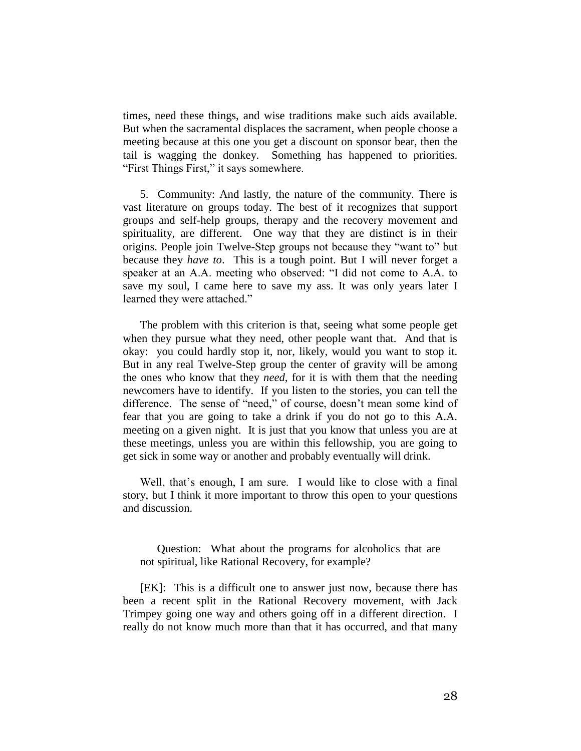times, need these things, and wise traditions make such aids available. But when the sacramental displaces the sacrament, when people choose a meeting because at this one you get a discount on sponsor bear, then the tail is wagging the donkey. Something has happened to priorities. "First Things First," it says somewhere.

5. Community: And lastly, the nature of the community. There is vast literature on groups today. The best of it recognizes that support groups and self-help groups, therapy and the recovery movement and spirituality, are different. One way that they are distinct is in their origins. People join Twelve-Step groups not because they "want to" but because they *have to*. This is a tough point. But I will never forget a speaker at an A.A. meeting who observed: "I did not come to A.A. to save my soul, I came here to save my ass. It was only years later I learned they were attached."

The problem with this criterion is that, seeing what some people get when they pursue what they need, other people want that. And that is okay: you could hardly stop it, nor, likely, would you want to stop it. But in any real Twelve-Step group the center of gravity will be among the ones who know that they *need*, for it is with them that the needing newcomers have to identify. If you listen to the stories, you can tell the difference. The sense of "need," of course, doesn't mean some kind of fear that you are going to take a drink if you do not go to this A.A. meeting on a given night. It is just that you know that unless you are at these meetings, unless you are within this fellowship, you are going to get sick in some way or another and probably eventually will drink.

Well, that's enough, I am sure. I would like to close with a final story, but I think it more important to throw this open to your questions and discussion.

Question: What about the programs for alcoholics that are not spiritual, like Rational Recovery, for example?

[EK]: This is a difficult one to answer just now, because there has been a recent split in the Rational Recovery movement, with Jack Trimpey going one way and others going off in a different direction. I really do not know much more than that it has occurred, and that many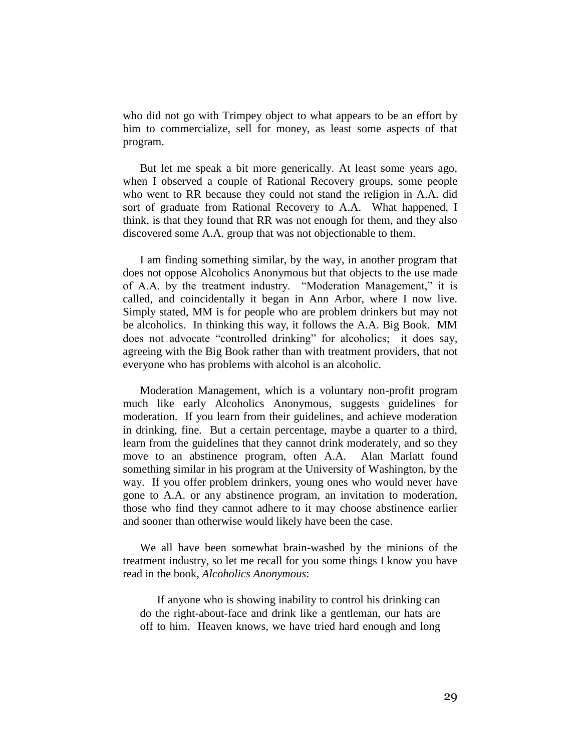who did not go with Trimpey object to what appears to be an effort by him to commercialize, sell for money, as least some aspects of that program.

But let me speak a bit more generically. At least some years ago, when I observed a couple of Rational Recovery groups, some people who went to RR because they could not stand the religion in A.A. did sort of graduate from Rational Recovery to A.A. What happened, I think, is that they found that RR was not enough for them, and they also discovered some A.A. group that was not objectionable to them.

I am finding something similar, by the way, in another program that does not oppose Alcoholics Anonymous but that objects to the use made of A.A. by the treatment industry. "Moderation Management," it is called, and coincidentally it began in Ann Arbor, where I now live. Simply stated, MM is for people who are problem drinkers but may not be alcoholics. In thinking this way, it follows the A.A. Big Book. MM does not advocate "controlled drinking" for alcoholics; it does say, agreeing with the Big Book rather than with treatment providers, that not everyone who has problems with alcohol is an alcoholic.

Moderation Management, which is a voluntary non-profit program much like early Alcoholics Anonymous, suggests guidelines for moderation. If you learn from their guidelines, and achieve moderation in drinking, fine. But a certain percentage, maybe a quarter to a third, learn from the guidelines that they cannot drink moderately, and so they move to an abstinence program, often A.A. Alan Marlatt found something similar in his program at the University of Washington, by the way. If you offer problem drinkers, young ones who would never have gone to A.A. or any abstinence program, an invitation to moderation, those who find they cannot adhere to it may choose abstinence earlier and sooner than otherwise would likely have been the case.

We all have been somewhat brain-washed by the minions of the treatment industry, so let me recall for you some things I know you have read in the book, *Alcoholics Anonymous*:

If anyone who is showing inability to control his drinking can do the right-about-face and drink like a gentleman, our hats are off to him. Heaven knows, we have tried hard enough and long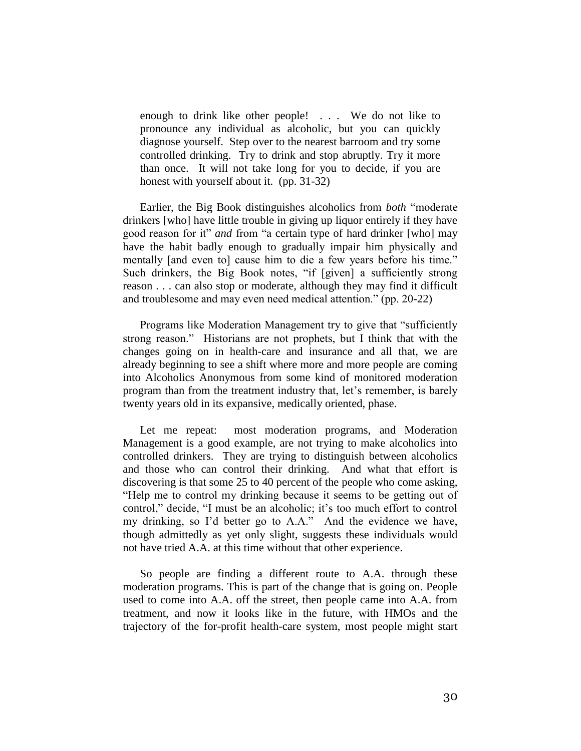enough to drink like other people! . . . We do not like to pronounce any individual as alcoholic, but you can quickly diagnose yourself. Step over to the nearest barroom and try some controlled drinking. Try to drink and stop abruptly. Try it more than once. It will not take long for you to decide, if you are honest with yourself about it. (pp. 31-32)

Earlier, the Big Book distinguishes alcoholics from *both* "moderate drinkers [who] have little trouble in giving up liquor entirely if they have good reason for it" *and* from "a certain type of hard drinker [who] may have the habit badly enough to gradually impair him physically and mentally [and even to] cause him to die a few years before his time." Such drinkers, the Big Book notes, "if [given] a sufficiently strong reason . . . can also stop or moderate, although they may find it difficult and troublesome and may even need medical attention." (pp. 20-22)

Programs like Moderation Management try to give that "sufficiently strong reason." Historians are not prophets, but I think that with the changes going on in health-care and insurance and all that, we are already beginning to see a shift where more and more people are coming into Alcoholics Anonymous from some kind of monitored moderation program than from the treatment industry that, let's remember, is barely twenty years old in its expansive, medically oriented, phase.

Let me repeat: most moderation programs, and Moderation Management is a good example, are not trying to make alcoholics into controlled drinkers. They are trying to distinguish between alcoholics and those who can control their drinking. And what that effort is discovering is that some 25 to 40 percent of the people who come asking, "Help me to control my drinking because it seems to be getting out of control," decide, "I must be an alcoholic; it's too much effort to control my drinking, so I'd better go to A.A." And the evidence we have, though admittedly as yet only slight, suggests these individuals would not have tried A.A. at this time without that other experience.

So people are finding a different route to A.A. through these moderation programs. This is part of the change that is going on. People used to come into A.A. off the street, then people came into A.A. from treatment, and now it looks like in the future, with HMOs and the trajectory of the for-profit health-care system, most people might start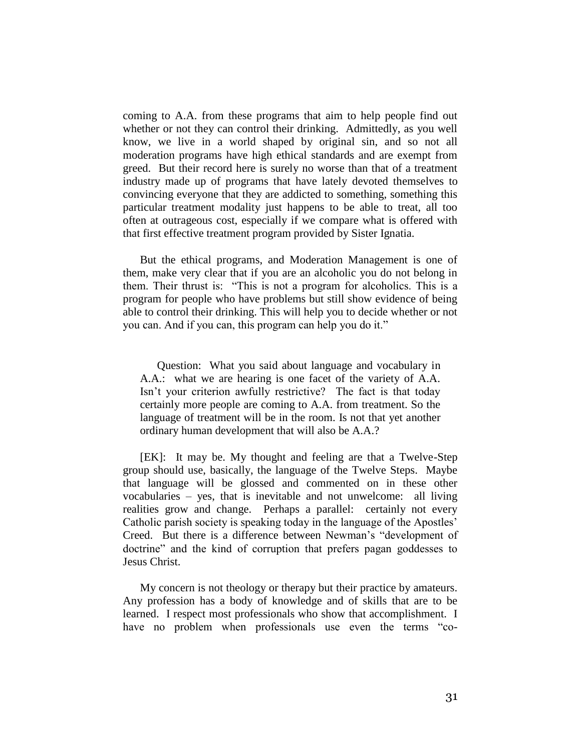coming to A.A. from these programs that aim to help people find out whether or not they can control their drinking. Admittedly, as you well know, we live in a world shaped by original sin, and so not all moderation programs have high ethical standards and are exempt from greed. But their record here is surely no worse than that of a treatment industry made up of programs that have lately devoted themselves to convincing everyone that they are addicted to something, something this particular treatment modality just happens to be able to treat, all too often at outrageous cost, especially if we compare what is offered with that first effective treatment program provided by Sister Ignatia.

But the ethical programs, and Moderation Management is one of them, make very clear that if you are an alcoholic you do not belong in them. Their thrust is: "This is not a program for alcoholics. This is a program for people who have problems but still show evidence of being able to control their drinking. This will help you to decide whether or not you can. And if you can, this program can help you do it."

Question: What you said about language and vocabulary in A.A.: what we are hearing is one facet of the variety of A.A. Isn't your criterion awfully restrictive? The fact is that today certainly more people are coming to A.A. from treatment. So the language of treatment will be in the room. Is not that yet another ordinary human development that will also be A.A.?

[EK]: It may be. My thought and feeling are that a Twelve-Step group should use, basically, the language of the Twelve Steps. Maybe that language will be glossed and commented on in these other vocabularies – yes, that is inevitable and not unwelcome: all living realities grow and change. Perhaps a parallel: certainly not every Catholic parish society is speaking today in the language of the Apostles' Creed. But there is a difference between Newman's "development of doctrine" and the kind of corruption that prefers pagan goddesses to Jesus Christ.

My concern is not theology or therapy but their practice by amateurs. Any profession has a body of knowledge and of skills that are to be learned. I respect most professionals who show that accomplishment. I have no problem when professionals use even the terms "co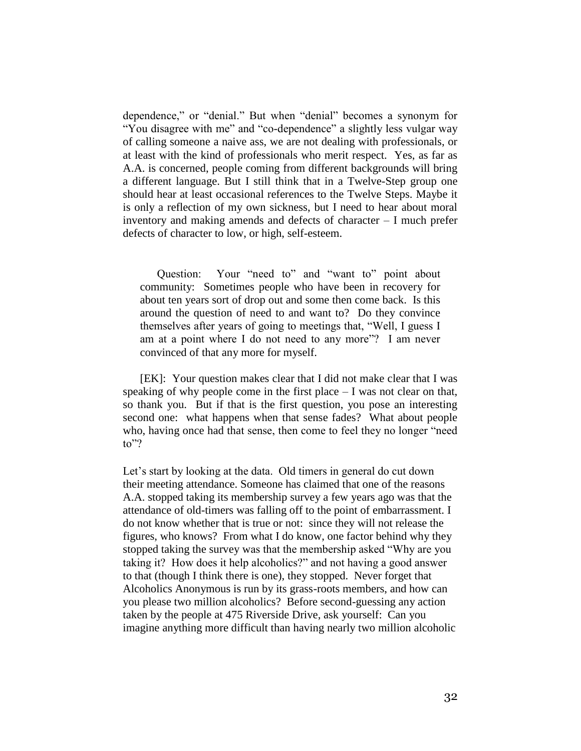dependence," or "denial." But when "denial" becomes a synonym for "You disagree with me" and "co-dependence" a slightly less vulgar way of calling someone a naive ass, we are not dealing with professionals, or at least with the kind of professionals who merit respect. Yes, as far as A.A. is concerned, people coming from different backgrounds will bring a different language. But I still think that in a Twelve-Step group one should hear at least occasional references to the Twelve Steps. Maybe it is only a reflection of my own sickness, but I need to hear about moral inventory and making amends and defects of character – I much prefer defects of character to low, or high, self-esteem.

Question: Your "need to" and "want to" point about community: Sometimes people who have been in recovery for about ten years sort of drop out and some then come back. Is this around the question of need to and want to? Do they convince themselves after years of going to meetings that, "Well, I guess I am at a point where I do not need to any more"? I am never convinced of that any more for myself.

[EK]: Your question makes clear that I did not make clear that I was speaking of why people come in the first place – I was not clear on that, so thank you. But if that is the first question, you pose an interesting second one: what happens when that sense fades? What about people who, having once had that sense, then come to feel they no longer "need to"?

Let's start by looking at the data. Old timers in general do cut down their meeting attendance. Someone has claimed that one of the reasons A.A. stopped taking its membership survey a few years ago was that the attendance of old-timers was falling off to the point of embarrassment. I do not know whether that is true or not: since they will not release the figures, who knows? From what I do know, one factor behind why they stopped taking the survey was that the membership asked "Why are you taking it? How does it help alcoholics?" and not having a good answer to that (though I think there is one), they stopped. Never forget that Alcoholics Anonymous is run by its grass-roots members, and how can you please two million alcoholics? Before second-guessing any action taken by the people at 475 Riverside Drive, ask yourself: Can you imagine anything more difficult than having nearly two million alcoholic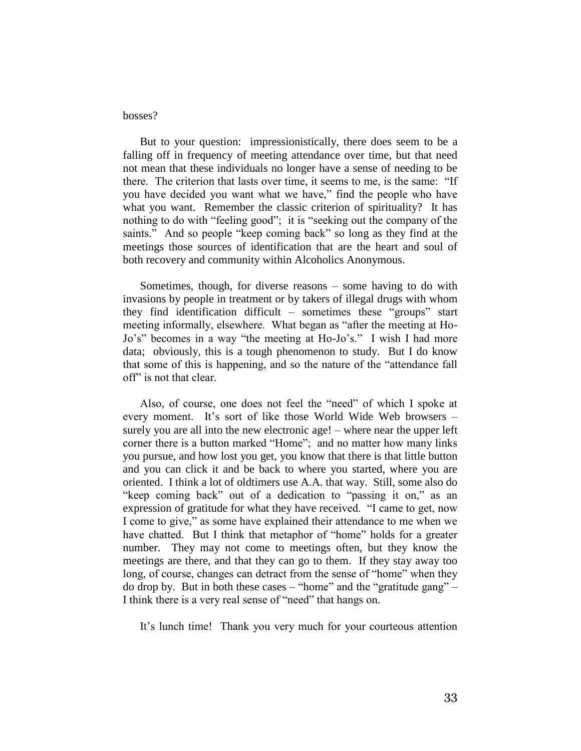## bosses?

But to your question: impressionistically, there does seem to be a falling off in frequency of meeting attendance over time, but that need not mean that these individuals no longer have a sense of needing to be there. The criterion that lasts over time, it seems to me, is the same: "If you have decided you want what we have," find the people who have what you want. Remember the classic criterion of spirituality? It has nothing to do with "feeling good"; it is "seeking out the company of the saints." And so people "keep coming back" so long as they find at the meetings those sources of identification that are the heart and soul of both recovery and community within Alcoholics Anonymous.

Sometimes, though, for diverse reasons – some having to do with invasions by people in treatment or by takers of illegal drugs with whom they find identification difficult – sometimes these "groups" start meeting informally, elsewhere. What began as "after the meeting at Ho-Jo's" becomes in a way "the meeting at Ho-Jo's." I wish I had more data; obviously, this is a tough phenomenon to study. But I do know that some of this is happening, and so the nature of the "attendance fall off" is not that clear.

Also, of course, one does not feel the "need" of which I spoke at every moment. It's sort of like those World Wide Web browsers – surely you are all into the new electronic age! – where near the upper left corner there is a button marked "Home"; and no matter how many links you pursue, and how lost you get, you know that there is that little button and you can click it and be back to where you started, where you are oriented. I think a lot of oldtimers use A.A. that way. Still, some also do "keep coming back" out of a dedication to "passing it on," as an expression of gratitude for what they have received. "I came to get, now I come to give," as some have explained their attendance to me when we have chatted. But I think that metaphor of "home" holds for a greater number. They may not come to meetings often, but they know the meetings are there, and that they can go to them. If they stay away too long, of course, changes can detract from the sense of "home" when they do drop by. But in both these cases – "home" and the "gratitude gang" – I think there is a very real sense of "need" that hangs on.

It's lunch time! Thank you very much for your courteous attention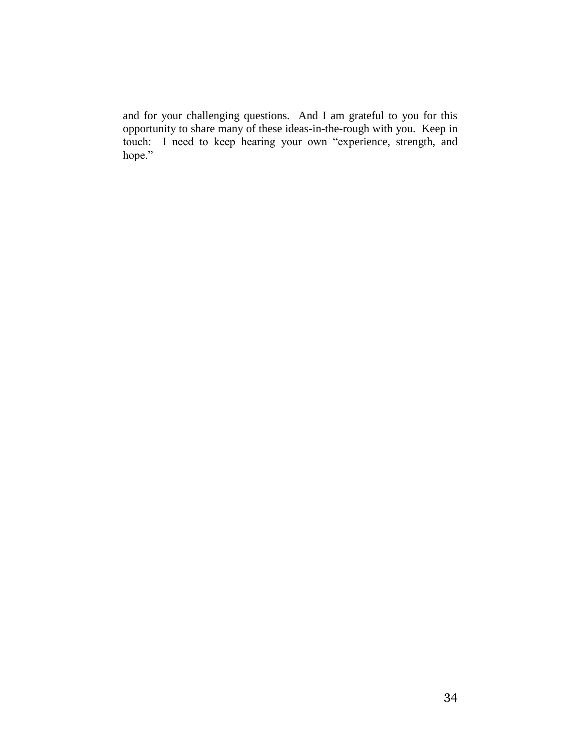and for your challenging questions. And I am grateful to you for this opportunity to share many of these ideas-in-the-rough with you. Keep in touch: I need to keep hearing your own "experience, strength, and hope."